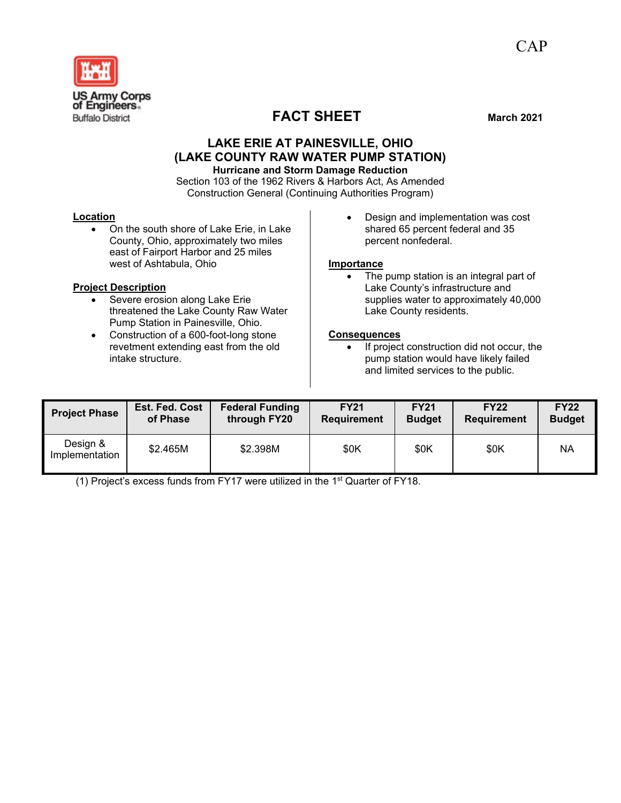

## **LAKE ERIE AT PAINESVILLE, OHIO (LAKE COUNTY RAW WATER PUMP STATION) Hurricane and Storm Damage Reduction**

Section 103 of the 1962 Rivers & Harbors Act, As Amended Construction General (Continuing Authorities Program)

### **Location**

• On the south shore of Lake Erie, in Lake County, Ohio, approximately two miles east of Fairport Harbor and 25 miles west of Ashtabula, Ohio

## **Project Description**

- Severe erosion along Lake Erie threatened the Lake County Raw Water Pump Station in Painesville, Ohio.
- Construction of a 600-foot-long stone revetment extending east from the old intake structure.

• Design and implementation was cost shared 65 percent federal and 35 percent nonfederal.

### **Importance**

• The pump station is an integral part of Lake County's infrastructure and supplies water to approximately 40,000 Lake County residents.

## **Consequences**

• If project construction did not occur, the pump station would have likely failed and limited services to the public.

| <b>Project Phase</b>       | Est. Fed. Cost | <b>Federal Funding</b> | <b>FY21</b>        | <b>FY21</b>   | <b>FY22</b>        | <b>FY22</b>   |
|----------------------------|----------------|------------------------|--------------------|---------------|--------------------|---------------|
|                            | of Phase       | through FY20           | <b>Requirement</b> | <b>Budget</b> | <b>Requirement</b> | <b>Budget</b> |
| Design &<br>Implementation | \$2.465M       | \$2.398M               | \$0K               | \$0K          | \$0K               | <b>NA</b>     |

(1) Project's excess funds from FY17 were utilized in the 1st Quarter of FY18.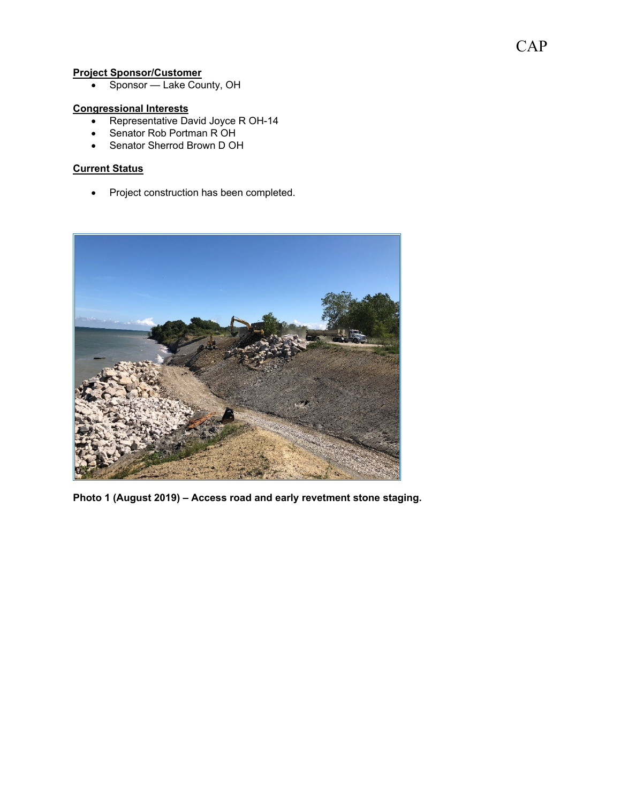## **Project Sponsor/Customer**

• Sponsor — Lake County, OH

# **Congressional Interests**

- Representative David Joyce R OH-14
- Senator Rob Portman R OH
- Senator Sherrod Brown D OH

## **Current Status**

• Project construction has been completed.



**Photo 1 (August 2019) – Access road and early revetment stone staging.**